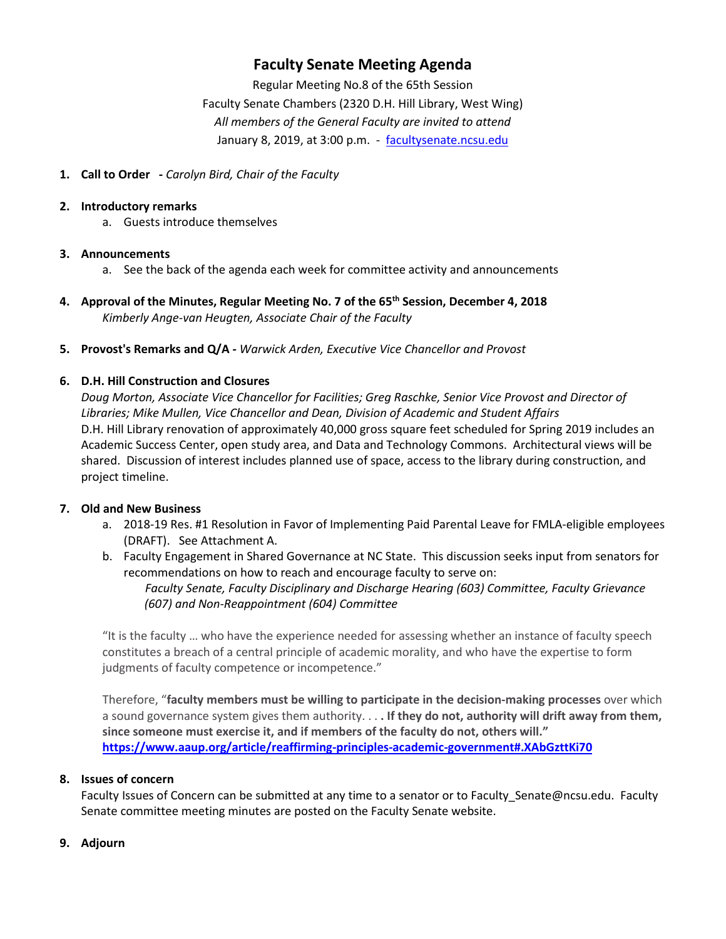# **Faculty Senate Meeting Agenda**

Regular Meeting No.8 of the 65th Session Faculty Senate Chambers (2320 D.H. Hill Library, West Wing) *All members of the General Faculty are invited to attend* January 8, 2019, at 3:00 p.m. - [facultysenate.ncsu.edu](https://facultysenate.ncsu.edu/)

#### **1. Call to Order -** *Carolyn Bird, Chair of the Faculty*

#### **2. Introductory remarks**

a. Guests introduce themselves

#### **3. Announcements**

- a. See the back of the agenda each week for committee activity and announcements
- **4. Approval of the Minutes, Regular Meeting No. 7 of the 65th Session, December 4, 2018** *Kimberly Ange-van Heugten, Associate Chair of the Faculty*
- **5. Provost's Remarks and Q/A -** *Warwick Arden, Executive Vice Chancellor and Provost*

## **6. D.H. Hill Construction and Closures**

*Doug Morton, Associate Vice Chancellor for Facilities; Greg Raschke, Senior Vice Provost and Director of Libraries; Mike Mullen, Vice Chancellor and Dean, Division of Academic and Student Affairs* D.H. Hill Library renovation of approximately 40,000 gross square feet scheduled for Spring 2019 includes an Academic Success Center, open study area, and Data and Technology Commons. Architectural views will be shared. Discussion of interest includes planned use of space, access to the library during construction, and project timeline.

## **7. Old and New Business**

- a. 2018-19 Res. #1 Resolution in Favor of Implementing Paid Parental Leave for FMLA-eligible employees (DRAFT). See Attachment A.
- b. Faculty Engagement in Shared Governance at NC State. This discussion seeks input from senators for recommendations on how to reach and encourage faculty to serve on:

*Faculty Senate, Faculty Disciplinary and Discharge Hearing (603) Committee, Faculty Grievance (607) and Non-Reappointment (604) Committee*

"It is the faculty … who have the experience needed for assessing whether an instance of faculty speech constitutes a breach of a central principle of academic morality, and who have the expertise to form judgments of faculty competence or incompetence."

Therefore, "**faculty members must be willing to participate in the decision-making processes** over which a sound governance system gives them authority. . . **. If they do not, authority will drift away from them, since someone must exercise it, and if members of the faculty do not, others will." <https://www.aaup.org/article/reaffirming-principles-academic-government#.XAbGzttKi70>**

#### **8. Issues of concern**

Faculty Issues of Concern can be submitted at any time to a senator or to Faculty\_Senate@ncsu.edu. Faculty Senate committee meeting minutes are posted on the Faculty Senate website.

#### **9. Adjourn**